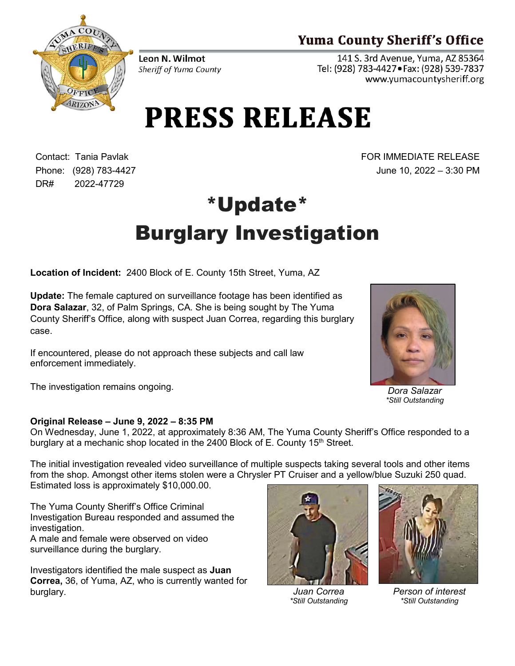## **Yuma County Sheriff's Office**

141 S. 3rd Avenue, Yuma, AZ 85364 Tel: (928) 783-4427 · Fax: (928) 539-7837 www.yumacountysheriff.org

Leon N. Wilmot Sheriff of Yuma County

## **PRESS RELEASE**

Contact: Tania Pavlak Phone: (928) 783-4427 DR# 2022-47729

FOR IMMEDIATE RELEASE June 10, 2022 – 3:30 PM

## \*Update\* Burglary Investigation

**Location of Incident:** 2400 Block of E. County 15th Street, Yuma, AZ

**Update:** The female captured on surveillance footage has been identified as **Dora Salazar**, 32, of Palm Springs, CA. She is being sought by The Yuma County Sheriff's Office, along with suspect Juan Correa, regarding this burglary case.

If encountered, please do not approach these subjects and call law enforcement immediately.

The investigation remains ongoing.

## **Original Release – June 9, 2022 – 8:35 PM**

On Wednesday, June 1, 2022, at approximately 8:36 AM, The Yuma County Sheriff's Office responded to a burglary at a mechanic shop located in the 2400 Block of E. County  $15<sup>th</sup>$  Street.

The initial investigation revealed video surveillance of multiple suspects taking several tools and other items from the shop. Amongst other items stolen were a Chrysler PT Cruiser and a yellow/blue Suzuki 250 quad. Estimated loss is approximately \$10,000.00.

The Yuma County Sheriff's Office Criminal Investigation Bureau responded and assumed the investigation.

A male and female were observed on video surveillance during the burglary.

Investigators identified the male suspect as **Juan Correa,** 36, of Yuma, AZ, who is currently wanted for burglary.



*Juan Correa \*Still Outstanding*



*Person of interest \*Still Outstanding*



*Dora Salazar \*Still Outstanding*